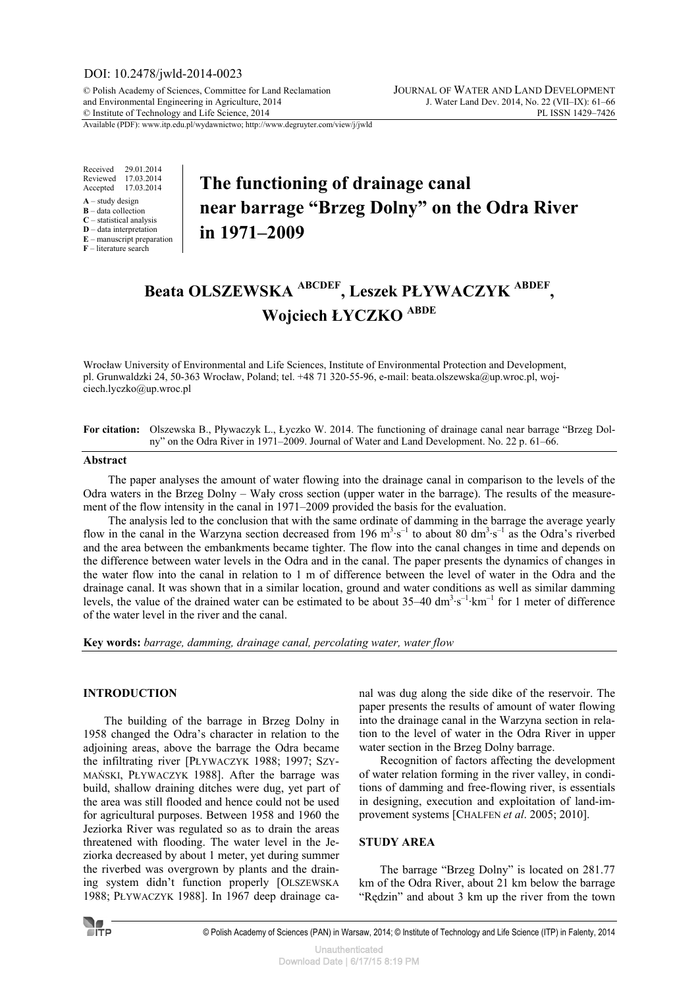# DOI: 10.2478/jwld-2014-0023

© Polish Academy of Sciences, Committee for Land Reclamation JOURNAL OF WATER AND LAND DEVELOPMENT and Environmental Engineering in Agriculture, 2014 J. Water Land Dev. 2014, No. 22 (VII–IX): 61–66<br>
© Institute of Technology and Life Science, 2014 © Institute of Technology and Life Science, 2014

Available (PDF): www.itp.edu.pl/wydawnictwo; http://www.degruyter.com/view/j/jwld

Received 29.01.2014 Reviewed 17.03.2014 Accepted 17.03.2014

- **A** study design
- **B** data collection **C** – statistical analysis
- **D** data interpretation

**E** – manuscript preparation

**F** – literature search

# **The functioning of drainage canal near barrage "Brzeg Dolny" on the Odra River in 1971–2009**

# **Beata OLSZEWSKA ABCDEF, Leszek PŁYWACZYK ABDEF , Wojciech ŁYCZKO ABDE**

Wrocław University of Environmental and Life Sciences, Institute of Environmental Protection and Development, pl. Grunwaldzki 24, 50-363 Wrocław, Poland; tel. +48 71 320-55-96, e-mail: beata.olszewska@up.wroc.pl, wojciech.lyczko@up.wroc.pl

**For citation:** Olszewska B., Pływaczyk L., Łyczko W. 2014. The functioning of drainage canal near barrage "Brzeg Dolny" on the Odra River in 1971–2009. Journal of Water and Land Development. No. 22 p. 61–66.

#### **Abstract**

The paper analyses the amount of water flowing into the drainage canal in comparison to the levels of the Odra waters in the Brzeg Dolny – Wały cross section (upper water in the barrage). The results of the measurement of the flow intensity in the canal in 1971–2009 provided the basis for the evaluation.

The analysis led to the conclusion that with the same ordinate of damming in the barrage the average yearly flow in the canal in the Warzyna section decreased from 196  $m^3 \cdot s^{-1}$  to about 80 dm<sup>3</sup> $\cdot s^{-1}$  as the Odra's riverbed and the area between the embankments became tighter. The flow into the canal changes in time and depends on the difference between water levels in the Odra and in the canal. The paper presents the dynamics of changes in the water flow into the canal in relation to 1 m of difference between the level of water in the Odra and the drainage canal. It was shown that in a similar location, ground and water conditions as well as similar damming levels, the value of the drained water can be estimated to be about  $35-40 \text{ dm}^3 \cdot \text{s}^{-1} \cdot \text{km}^{-1}$  for 1 meter of difference of the water level in the river and the canal.

**Key words:** *barrage, damming, drainage canal, percolating water, water flow* 

## **INTRODUCTION**

The building of the barrage in Brzeg Dolny in 1958 changed the Odra's character in relation to the adjoining areas, above the barrage the Odra became the infiltrating river [PŁYWACZYK 1988; 1997; SZY-MAŃSKI, PŁYWACZYK 1988]. After the barrage was build, shallow draining ditches were dug, yet part of the area was still flooded and hence could not be used for agricultural purposes. Between 1958 and 1960 the Jeziorka River was regulated so as to drain the areas threatened with flooding. The water level in the Jeziorka decreased by about 1 meter, yet during summer the riverbed was overgrown by plants and the draining system didn't function properly [OLSZEWSKA 1988; PŁYWACZYK 1988]. In 1967 deep drainage canal was dug along the side dike of the reservoir. The paper presents the results of amount of water flowing into the drainage canal in the Warzyna section in relation to the level of water in the Odra River in upper water section in the Brzeg Dolny barrage.

Recognition of factors affecting the development of water relation forming in the river valley, in conditions of damming and free-flowing river, is essentials in designing, execution and exploitation of land-improvement systems [CHALFEN *et al*. 2005; 2010].

### **STUDY AREA**

The barrage "Brzeg Dolny" is located on 281.77 km of the Odra River, about 21 km below the barrage "Rędzin" and about 3 km up the river from the town



© Polish Academy of Sciences (PAN) in Warsaw, 2014; © Institute of Technology and Life Science (ITP) in Falenty, 2014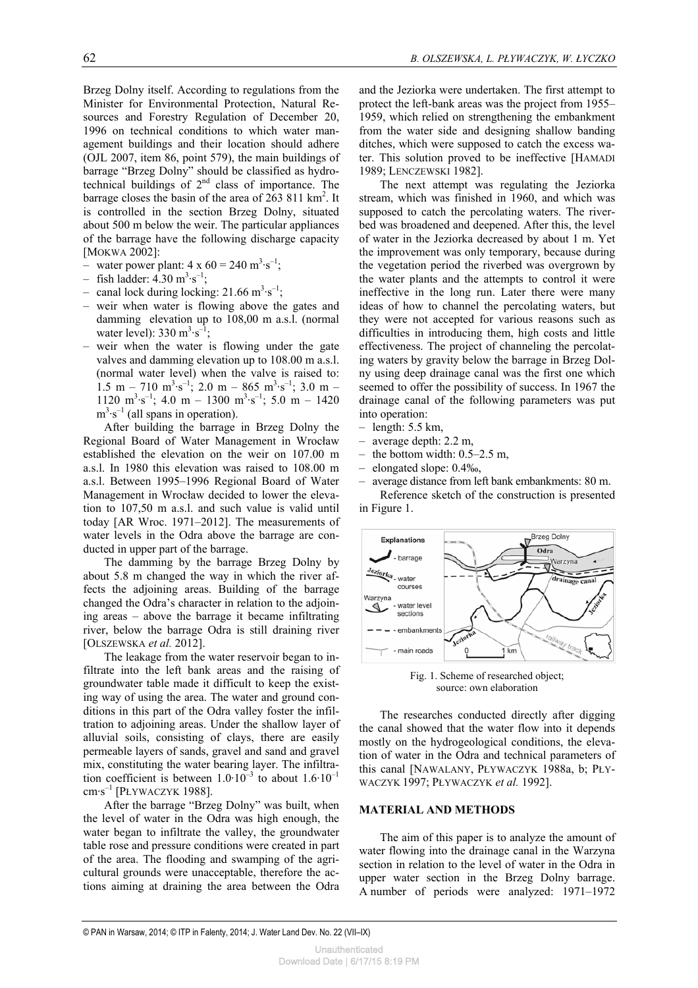Brzeg Dolny itself. According to regulations from the Minister for Environmental Protection, Natural Resources and Forestry Regulation of December 20, 1996 on technical conditions to which water management buildings and their location should adhere (OJL 2007, item 86, point 579), the main buildings of barrage "Brzeg Dolny" should be classified as hydrotechnical buildings of 2nd class of importance. The barrage closes the basin of the area of  $263811 \text{ km}^2$ . It is controlled in the section Brzeg Dolny, situated about 500 m below the weir. The particular appliances of the barrage have the following discharge capacity [MOKWA 2002]:

- water power plant:  $4 \times 60 = 240 \text{ m}^3 \cdot \text{s}^{-1}$ ;
- fish ladder:  $4.30 \text{ m}^3 \text{·s}^{-1}$ ;
- canal lock during locking:  $21.66 \text{ m}^3 \cdot \text{s}^{-1}$ ;
- weir when water is flowing above the gates and damming elevation up to 108,00 m a.s.l. (normal water level):  $330 \text{ m}^3 \text{·s}^{-1}$ ;
- weir when the water is flowing under the gate valves and damming elevation up to 108.00 m a.s.l. (normal water level) when the valve is raised to:  $1.5 \text{ m} - 710 \text{ m}^3 \cdot \text{s}^{-1}$ ; 2.0 m – 865 m<sup>3</sup> $\cdot \text{s}^{-1}$ ; 3.0 m – 1120  $\text{m}^3 \cdot \text{s}^{-1}$ ; 4.0 m – 1300  $\text{m}^3 \cdot \text{s}^{-1}$ ; 5.0 m – 1420  $m^3 \text{-} s^{-1}$  (all spans in operation).

After building the barrage in Brzeg Dolny the Regional Board of Water Management in Wrocław established the elevation on the weir on 107.00 m a.s.l. In 1980 this elevation was raised to 108.00 m a.s.l. Between 1995–1996 Regional Board of Water Management in Wrocław decided to lower the elevation to 107,50 m a.s.l. and such value is valid until today [AR Wroc. 1971–2012]. The measurements of water levels in the Odra above the barrage are conducted in upper part of the barrage.

The damming by the barrage Brzeg Dolny by about 5.8 m changed the way in which the river affects the adjoining areas. Building of the barrage changed the Odra's character in relation to the adjoining areas – above the barrage it became infiltrating river, below the barrage Odra is still draining river [OLSZEWSKA *et al.* 2012].

The leakage from the water reservoir began to infiltrate into the left bank areas and the raising of groundwater table made it difficult to keep the existing way of using the area. The water and ground conditions in this part of the Odra valley foster the infiltration to adjoining areas. Under the shallow layer of alluvial soils, consisting of clays, there are easily permeable layers of sands, gravel and sand and gravel mix, constituting the water bearing layer. The infiltration coefficient is between  $1.0 \cdot 10^{-3}$  to about  $1.6 \cdot 10^{-1}$  $cm·s^{-1}$  [PŁYWACZYK 1988].

After the barrage "Brzeg Dolny" was built, when the level of water in the Odra was high enough, the water began to infiltrate the valley, the groundwater table rose and pressure conditions were created in part of the area. The flooding and swamping of the agricultural grounds were unacceptable, therefore the actions aiming at draining the area between the Odra and the Jeziorka were undertaken. The first attempt to protect the left-bank areas was the project from 1955– 1959, which relied on strengthening the embankment from the water side and designing shallow banding ditches, which were supposed to catch the excess water. This solution proved to be ineffective [HAMADI 1989; LENCZEWSKI 1982].

The next attempt was regulating the Jeziorka stream, which was finished in 1960, and which was supposed to catch the percolating waters. The riverbed was broadened and deepened. After this, the level of water in the Jeziorka decreased by about 1 m. Yet the improvement was only temporary, because during the vegetation period the riverbed was overgrown by the water plants and the attempts to control it were ineffective in the long run. Later there were many ideas of how to channel the percolating waters, but they were not accepted for various reasons such as difficulties in introducing them, high costs and little effectiveness. The project of channeling the percolating waters by gravity below the barrage in Brzeg Dolny using deep drainage canal was the first one which seemed to offer the possibility of success. In 1967 the drainage canal of the following parameters was put into operation:

- length: 5.5 km,
- average depth: 2.2 m,
- the bottom width:  $0.5-2.5$  m,
- elongated slope: 0.4‰,

– average distance from left bank embankments: 80 m. Reference sketch of the construction is presented in Figure 1.



Fig. 1. Scheme of researched object; source: own elaboration

The researches conducted directly after digging the canal showed that the water flow into it depends mostly on the hydrogeological conditions, the elevation of water in the Odra and technical parameters of this canal [NAWALANY, PŁYWACZYK 1988a, b; PŁY-WACZYK 1997; PŁYWACZYK *et al.* 1992].

## **MATERIAL AND METHODS**

The aim of this paper is to analyze the amount of water flowing into the drainage canal in the Warzyna section in relation to the level of water in the Odra in upper water section in the Brzeg Dolny barrage. A number of periods were analyzed: 1971–1972

Download Date | 6/17/15 8:19 PM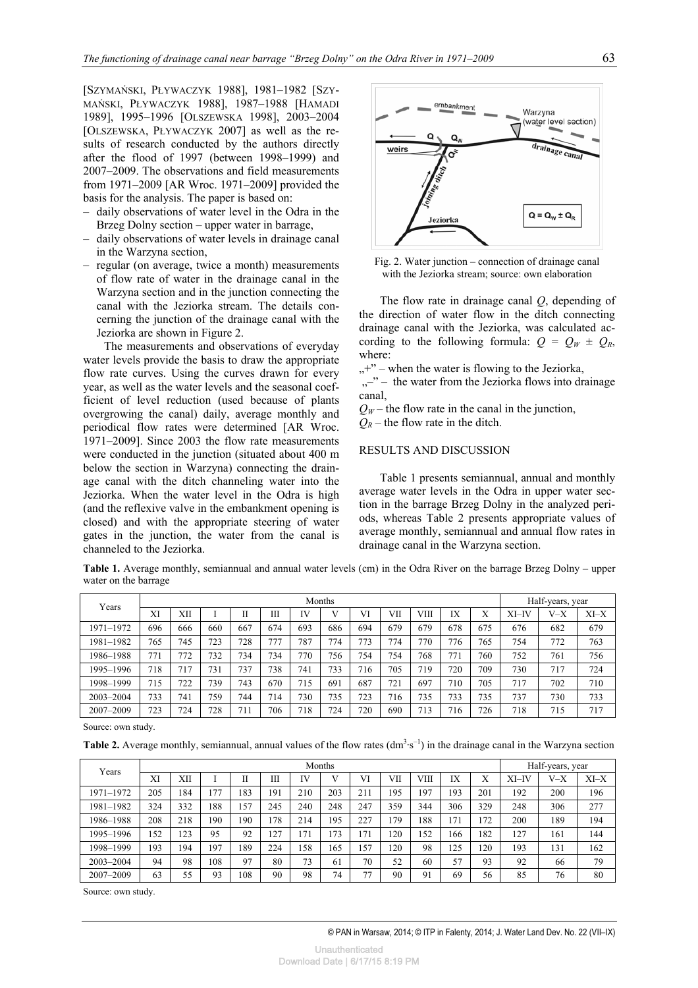[SZYMAŃSKI, PŁYWACZYK 1988], 1981–1982 [SZY-MAŃSKI, PŁYWACZYK 1988], 1987–1988 [HAMADI 1989], 1995–1996 [OLSZEWSKA 1998], 2003–2004 [OLSZEWSKA, PŁYWACZYK 2007] as well as the results of research conducted by the authors directly after the flood of 1997 (between 1998–1999) and 2007–2009. The observations and field measurements from 1971–2009 [AR Wroc. 1971–2009] provided the basis for the analysis. The paper is based on:

- daily observations of water level in the Odra in the Brzeg Dolny section – upper water in barrage,
- daily observations of water levels in drainage canal in the Warzyna section,
- regular (on average, twice a month) measurements of flow rate of water in the drainage canal in the Warzyna section and in the junction connecting the canal with the Jeziorka stream. The details concerning the junction of the drainage canal with the Jeziorka are shown in Figure 2.

The measurements and observations of everyday water levels provide the basis to draw the appropriate flow rate curves. Using the curves drawn for every year, as well as the water levels and the seasonal coefficient of level reduction (used because of plants overgrowing the canal) daily, average monthly and periodical flow rates were determined [AR Wroc. 1971–2009]. Since 2003 the flow rate measurements were conducted in the junction (situated about 400 m below the section in Warzyna) connecting the drainage canal with the ditch channeling water into the Jeziorka. When the water level in the Odra is high (and the reflexive valve in the embankment opening is closed) and with the appropriate steering of water gates in the junction, the water from the canal is channeled to the Jeziorka.



Fig. 2. Water junction – connection of drainage canal with the Jeziorka stream; source: own elaboration

The flow rate in drainage canal *Q*, depending of the direction of water flow in the ditch connecting drainage canal with the Jeziorka, was calculated according to the following formula:  $Q = Q_W \pm Q_R$ , where:

 $, +$ " – when the water is flowing to the Jeziorka,

 $, -$  – the water from the Jeziorka flows into drainage canal,

 $Q_W$  – the flow rate in the canal in the junction,

 $Q_R$  – the flow rate in the ditch.

#### RESULTS AND DISCUSSION

Table 1 presents semiannual, annual and monthly average water levels in the Odra in upper water section in the barrage Brzeg Dolny in the analyzed periods, whereas Table 2 presents appropriate values of average monthly, semiannual and annual flow rates in drainage canal in the Warzyna section.

**Table 1.** Average monthly, semiannual and annual water levels (cm) in the Odra River on the barrage Brzeg Dolny – upper water on the barrage

| Years     | Months |     |     |              |     |     |     |     |     |      | Half-years, year |     |       |       |        |
|-----------|--------|-----|-----|--------------|-----|-----|-----|-----|-----|------|------------------|-----|-------|-------|--------|
|           | XI     | XII |     |              | Ш   | IV  |     | VI  | VІІ | VIII | IX               | Х   | XI-IV | $V-X$ | $XI-X$ |
| 1971–1972 | 696    | 666 | 660 | 667          | 674 | 693 | 686 | 694 | 679 | 679  | 678              | 675 | 676   | 682   | 679    |
| 1981–1982 | 765    | 745 | 723 | 728          | 777 | 787 | 774 | 773 | 774 | 770  | 776              | 765 | 754   | 772   | 763    |
| 1986–1988 | 771    | 772 | 732 | 734          | 734 | 770 | 756 | 754 | 754 | 768  | 771              | 760 | 752   | 761   | 756    |
| 1995–1996 | 718    | 717 | 731 | 737          | 738 | 741 | 733 | 716 | 705 | 719  | 720              | 709 | 730   | 717   | 724    |
| 1998–1999 | 715    | 722 | 739 | 743          | 670 | 715 | 691 | 687 | 721 | 697  | 710              | 705 | 717   | 702   | 710    |
| 2003-2004 | 733    | 741 | 759 | 744          | 714 | 730 | 735 | 723 | 716 | 735  | 733              | 735 | 737   | 730   | 733    |
| 2007-2009 | 723    | 724 | 728 | $71^{\circ}$ | 706 | 718 | 724 | 720 | 690 | 713  | 716              | 726 | 718   | 715   | 717    |

Source: own study.

**Table 2.** Average monthly, semiannual, annual values of the flow rates  $(dm<sup>3</sup>·s<sup>-1</sup>)$  in the drainage canal in the Warzyna section

| Years     | Months |     |     |     |     |     |     |     |     |      | Half-years, year |     |       |         |        |
|-----------|--------|-----|-----|-----|-----|-----|-----|-----|-----|------|------------------|-----|-------|---------|--------|
|           | XI     | XII |     |     | Ш   | IV  |     | VI  | VІІ | VIII | IX               | Χ   | XI-IV | $V - X$ | $XI-X$ |
| 1971–1972 | 205    | 184 | .77 | 183 | 191 | 210 | 203 | 211 | 195 | 197  | 193              | 201 | 192   | 200     | 196    |
| 1981–1982 | 324    | 332 | 188 | 157 | 245 | 240 | 248 | 247 | 359 | 344  | 306              | 329 | 248   | 306     | 277    |
| 1986–1988 | 208    | 218 | 190 | 190 | 78  | 214 | 195 | 227 | .79 | 188  | 171              | 172 | 200   | 189     | 194    |
| 1995–1996 | 152    | 123 | 95  | 92  | 27  | 171 | 173 | 171 | 120 | 152  | 166              | 182 | 127   | 161     | 144    |
| 1998–1999 | 193    | 194 | 197 | 189 | 224 | 158 | 165 | 157 | 120 | 98   | 125              | 120 | 193   | 131     | 162    |
| 2003-2004 | 94     | 98  | 108 | 97  | 80  | 73  | 61  | 70  | 52  | 60   | 57               | 93  | 92    | 66      | 79     |
| 2007-2009 | 63     | 55  | 93  | 108 | 90  | 98  | 74  | 77  | 90  | 91   | 69               | 56  | 85    | 76      | 80     |

Source: own study.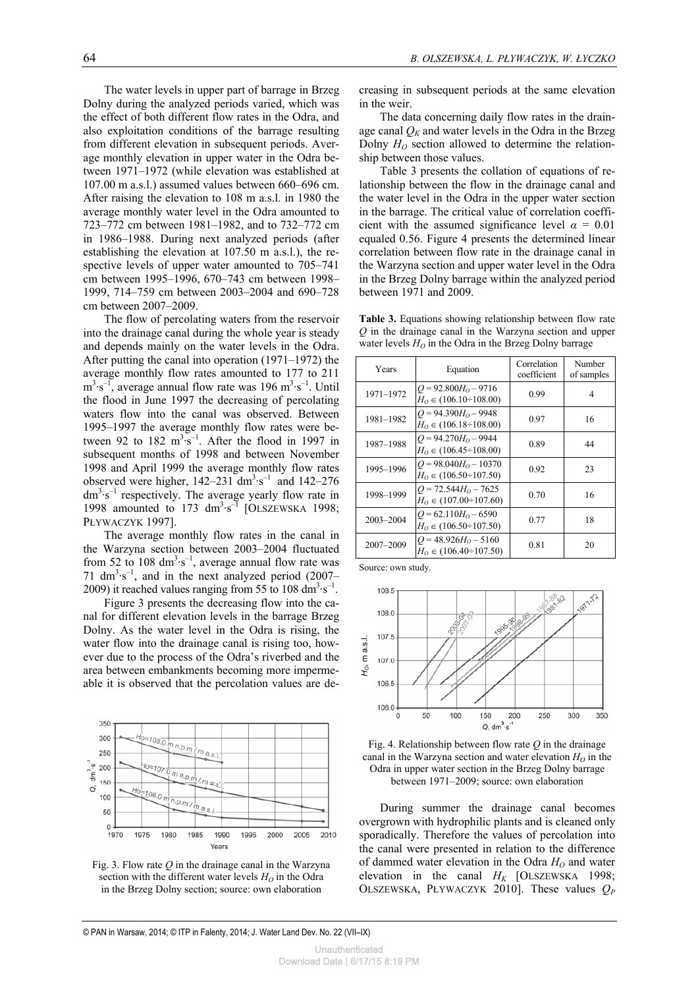The water levels in upper part of barrage in Brzeg Dolny during the analyzed periods varied, which was the effect of both different flow rates in the Odra, and also exploitation conditions of the barrage resulting from different elevation in subsequent periods. Average monthly elevation in upper water in the Odra between 1971–1972 (while elevation was established at 107.00 m a.s.l.) assumed values between 660–696 cm. After raising the elevation to 108 m a.s.l. in 1980 the average monthly water level in the Odra amounted to 723–772 cm between 1981–1982, and to 732–772 cm in 1986–1988. During next analyzed periods (after establishing the elevation at 107.50 m a.s.l.), the respective levels of upper water amounted to 705–741 cm between 1995–1996, 670–743 cm between 1998– 1999, 714–759 cm between 2003–2004 and 690–728 cm between 2007–2009.

The flow of percolating waters from the reservoir into the drainage canal during the whole year is steady and depends mainly on the water levels in the Odra. After putting the canal into operation (1971–1972) the average monthly flow rates amounted to 177 to 211  $m^3 \cdot s^{-1}$ , average annual flow rate was 196  $m^3 \cdot s^{-1}$ . Until the flood in June 1997 the decreasing of percolating waters flow into the canal was observed. Between 1995–1997 the average monthly flow rates were between 92 to  $182 \text{ m}^3 \cdot \text{s}^{-1}$ . After the flood in 1997 in subsequent months of 1998 and between November 1998 and April 1999 the average monthly flow rates observed were higher,  $142-231$  dm<sup>3</sup> $\cdot$ s<sup>-1</sup> and  $142-276$  $dm<sup>3</sup>·s<sup>-1</sup>$  respectively. The average yearly flow rate in 1998 amounted to 173  $\text{dm}^3 \cdot \text{s}^{-1}$  [OLSZEWSKA 1998; PŁYWACZYK 1997].

The average monthly flow rates in the canal in the Warzyna section between 2003–2004 fluctuated from 52 to 108  $\text{dm}^3 \text{-} \text{s}^{-1}$ , average annual flow rate was 71  $\text{dm}^3 \cdot \text{s}^{-1}$ , and in the next analyzed period (2007– 2009) it reached values ranging from 55 to 108  $\text{dm}^3 \cdot \text{s}^{-1}$ .

Figure 3 presents the decreasing flow into the canal for different elevation levels in the barrage Brzeg Dolny. As the water level in the Odra is rising, the water flow into the drainage canal is rising too, however due to the process of the Odra's riverbed and the area between embankments becoming more impermeable it is observed that the percolation values are de-



Fig. 3. Flow rate *Q* in the drainage canal in the Warzyna section with the different water levels  $H<sub>O</sub>$  in the Odra in the Brzeg Dolny section; source: own elaboration

creasing in subsequent periods at the same elevation in the weir.

The data concerning daily flow rates in the drainage canal  $Q_K$  and water levels in the Odra in the Brzeg Dolny  $H<sub>O</sub>$  section allowed to determine the relationship between those values.

Table 3 presents the collation of equations of relationship between the flow in the drainage canal and the water level in the Odra in the upper water section in the barrage. The critical value of correlation coefficient with the assumed significance level  $\alpha = 0.01$ equaled 0.56. Figure 4 presents the determined linear correlation between flow rate in the drainage canal in the Warzyna section and upper water level in the Odra in the Brzeg Dolny barrage within the analyzed period between 1971 and 2009.

**Table 3.** Equations showing relationship between flow rate *Q* in the drainage canal in the Warzyna section and upper water levels  $H<sub>O</sub>$  in the Odra in the Brzeg Dolny barrage

| Years     | Equation                                                  | Correlation<br>coefficient | Number<br>of samples |  |
|-----------|-----------------------------------------------------------|----------------------------|----------------------|--|
| 1971-1972 | $Q = 92.800H_0 - 9716$<br>$H_0 \in (106.10 \div 108.00)$  | 0.99                       | 4                    |  |
| 1981-1982 | $Q = 94.390H_0 - 9948$<br>$H_0 \in (106.18 \div 108.00)$  | 0.97                       | 16                   |  |
| 1987-1988 | $Q = 94.270H0 - 9944$<br>$H_0 \in (106.45 \div 108.00)$   | 0.89                       | 44                   |  |
| 1995-1996 | $Q = 98.040H_0 - 10370$<br>$H_0 \in (106.50 \div 107.50)$ | 0.92                       | 23                   |  |
| 1998-1999 | $Q = 72.544H_0 - 7625$<br>$H_0 \in (107.00 \div 107.60)$  | 0.70                       | 16                   |  |
| 2003-2004 | $Q = 62.110H0 - 6590$<br>$H_0 \in (106.50 \div 107.50)$   | 0.77                       | 18                   |  |
| 2007-2009 | $Q = 48.926H_0 - 5160$<br>$H_0 \in (106.40 \div 107.50)$  | 0.81                       | 20                   |  |

Source: own study.





During summer the drainage canal becomes overgrown with hydrophilic plants and is cleaned only sporadically. Therefore the values of percolation into the canal were presented in relation to the difference of dammed water elevation in the Odra  $H_0$  and water elevation in the canal  $H_K$  [OLSZEWSKA 1998; OLSZEWSKA, PŁYWACZYK 2010]. These values *QP*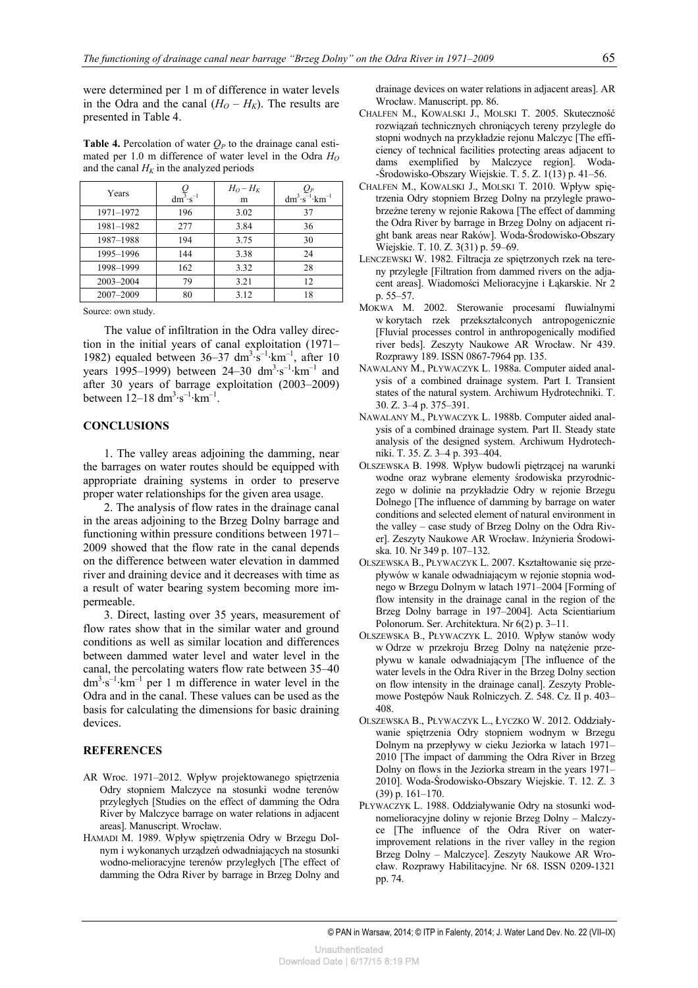were determined per 1 m of difference in water levels in the Odra and the canal  $(H<sub>O</sub> - H<sub>K</sub>)$ . The results are presented in Table 4.

**Table 4.** Percolation of water  $O_P$  to the drainage canal estimated per 1.0 m difference of water level in the Odra  $H<sub>O</sub>$ and the canal  $H_K$  in the analyzed periods

| Years     | $dm^3 \cdot s^{-1}$ | $H_0 - H_K$<br>m | $dm^3 \cdot s^{-1} \cdot km^{-1}$ |
|-----------|---------------------|------------------|-----------------------------------|
| 1971-1972 | 196                 | 3.02             | 37                                |
| 1981-1982 | 277                 | 3.84             | 36                                |
| 1987-1988 | 194                 | 3.75             | 30                                |
| 1995-1996 | 144                 | 3.38             | 24                                |
| 1998-1999 | 162                 | 3.32             | 28                                |
| 2003-2004 | 79                  | 3.21             | 12                                |
| 2007-2009 | 80                  | 3.12             | 18                                |

Source: own study.

The value of infiltration in the Odra valley direction in the initial years of canal exploitation (1971– 1982) equaled between  $36-37 \text{ dm}^3 \text{ s}^{-1} \text{ km}^{-1}$ , after 10 years 1995–1999) between 24–30  $\text{dm}^3 \cdot \text{s}^{-1} \cdot \text{km}^{-1}$  and after 30 years of barrage exploitation (2003–2009) between  $12-18 \text{ dm}^3 \text{·s}^{-1} \text{·km}^{-1}$ .

### **CONCLUSIONS**

1. The valley areas adjoining the damming, near the barrages on water routes should be equipped with appropriate draining systems in order to preserve proper water relationships for the given area usage.

2. The analysis of flow rates in the drainage canal in the areas adjoining to the Brzeg Dolny barrage and functioning within pressure conditions between 1971– 2009 showed that the flow rate in the canal depends on the difference between water elevation in dammed river and draining device and it decreases with time as a result of water bearing system becoming more impermeable.

3. Direct, lasting over 35 years, measurement of flow rates show that in the similar water and ground conditions as well as similar location and differences between dammed water level and water level in the canal, the percolating waters flow rate between 35–40  $dm^3 \cdot s^{-1} \cdot km^{-1}$  per 1 m difference in water level in the Odra and in the canal. These values can be used as the basis for calculating the dimensions for basic draining devices.

# **REFERENCES**

- AR Wroc. 1971–2012. Wpływ projektowanego spiętrzenia Odry stopniem Malczyce na stosunki wodne terenów przyległych [Studies on the effect of damming the Odra River by Malczyce barrage on water relations in adjacent areas]. Manuscript. Wrocław.
- HAMADI M. 1989. Wpływ spiętrzenia Odry w Brzegu Dolnym i wykonanych urządzeń odwadniających na stosunki wodno-melioracyjne terenów przyległych [The effect of damming the Odra River by barrage in Brzeg Dolny and

drainage devices on water relations in adjacent areas]. AR Wrocław. Manuscript. pp. 86.

- CHALFEN M., KOWALSKI J., MOLSKI T. 2005. Skuteczność rozwiązań technicznych chroniących tereny przyległe do stopni wodnych na przykładzie rejonu Malczyc [The efficiency of technical facilities protecting areas adjacent to dams exemplified by Malczyce region]. Woda- -Środowisko-Obszary Wiejskie. T. 5. Z. 1(13) p. 41–56.
- CHALFEN M., KOWALSKI J., MOLSKI T. 2010. Wpływ spiętrzenia Odry stopniem Brzeg Dolny na przyległe prawobrzeżne tereny w rejonie Rakowa [The effect of damming the Odra River by barrage in Brzeg Dolny on adjacent right bank areas near Raków]. Woda-Środowisko-Obszary Wiejskie. T. 10. Z. 3(31) p. 59–69.
- LENCZEWSKI W. 1982. Filtracja ze spiętrzonych rzek na tereny przyległe [Filtration from dammed rivers on the adjacent areas]. Wiadomości Melioracyjne i Łąkarskie. Nr 2 p. 55–57.
- MOKWA M. 2002. Sterowanie procesami fluwialnymi w korytach rzek przekształconych antropogenicznie [Fluvial processes control in anthropogenically modified river beds]. Zeszyty Naukowe AR Wrocław. Nr 439. Rozprawy 189. ISSN 0867-7964 pp. 135.
- NAWALANY M., PŁYWACZYK L. 1988a. Computer aided analysis of a combined drainage system. Part I. Transient states of the natural system. Archiwum Hydrotechniki. T. 30. Z. 3–4 p. 375–391.
- NAWALANY M., PŁYWACZYK L. 1988b. Computer aided analysis of a combined drainage system. Part II. Steady state analysis of the designed system. Archiwum Hydrotechniki. T. 35. Z. 3–4 p. 393–404.
- OLSZEWSKA B. 1998. Wpływ budowli piętrzącej na warunki wodne oraz wybrane elementy środowiska przyrodniczego w dolinie na przykładzie Odry w rejonie Brzegu Dolnego [The influence of damming by barrage on water conditions and selected element of natural environment in the valley – case study of Brzeg Dolny on the Odra River]. Zeszyty Naukowe AR Wrocław. Inżynieria Środowiska. 10. Nr 349 p. 107–132.
- OLSZEWSKA B., PŁYWACZYK L. 2007. Kształtowanie się przepływów w kanale odwadniającym w rejonie stopnia wodnego w Brzegu Dolnym w latach 1971–2004 [Forming of flow intensity in the drainage canal in the region of the Brzeg Dolny barrage in 197–2004]. Acta Scientiarium Polonorum. Ser. Architektura. Nr 6(2) p. 3–11.
- OLSZEWSKA B., PŁYWACZYK L. 2010. Wpływ stanów wody w Odrze w przekroju Brzeg Dolny na natężenie przepływu w kanale odwadniającym [The influence of the water levels in the Odra River in the Brzeg Dolny section on flow intensity in the drainage canal]. Zeszyty Problemowe Postępów Nauk Rolniczych. Z. 548. Cz. II p. 403– 408.
- OLSZEWSKA B., PŁYWACZYK L., ŁYCZKO W. 2012. Oddziaływanie spiętrzenia Odry stopniem wodnym w Brzegu Dolnym na przepływy w cieku Jeziorka w latach 1971– 2010 [The impact of damming the Odra River in Brzeg Dolny on flows in the Jeziorka stream in the years 1971– 2010]. Woda-Środowisko-Obszary Wiejskie. T. 12. Z. 3 (39) p. 161–170.
- PŁYWACZYK L. 1988. Oddziaływanie Odry na stosunki wodnomelioracyjne doliny w rejonie Brzeg Dolny – Malczyce [The influence of the Odra River on waterimprovement relations in the river valley in the region Brzeg Dolny – Malczyce]. Zeszyty Naukowe AR Wrocław. Rozprawy Habilitacyjne. Nr 68. ISSN 0209-1321 pp. 74.